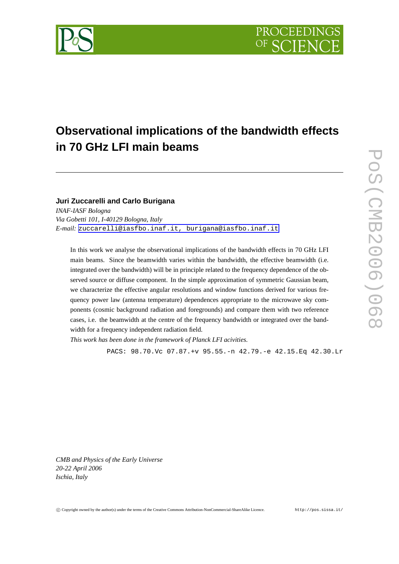

# **Observational implications of the bandwidth effects in 70 GHz LFI main beams**

### **Juri Zuccarelli and Carlo Burigana**

*INAF-IASF Bologna Via Gobetti 101, I-40129 Bologna, Italy E-mail:* [zuccarelli@iasfbo.inaf.it,](mailto:zuccarelli@iasfbo.inaf.it, burigana@iasfbo.inaf.it) burigana@iasfbo.inaf.it

In this work we analyse the observational implications of the bandwidth effects in 70 GHz LFI main beams. Since the beamwidth varies within the bandwidth, the effective beamwidth (i.e. integrated over the bandwidth) will be in principle related to the frequency dependence of the observed source or diffuse component. In the simple approximation of symmetric Gaussian beam, we characterize the effective angular resolutions and window functions derived for various frequency power law (antenna temperature) dependences appropriate to the microwave sky components (cosmic background radiation and foregrounds) and compare them with two reference cases, i.e. the beamwidth at the centre of the frequency bandwidth or integrated over the bandwidth for a frequency independent radiation field.

*This work has been done in the framework of Planck LFI acivities.*

PACS: 98.70.Vc 07.87.+v 95.55.-n 42.79.-e 42.15.Eq 42.30.Lr

*CMB and Physics of the Early Universe 20-22 April 2006 Ischia, Italy*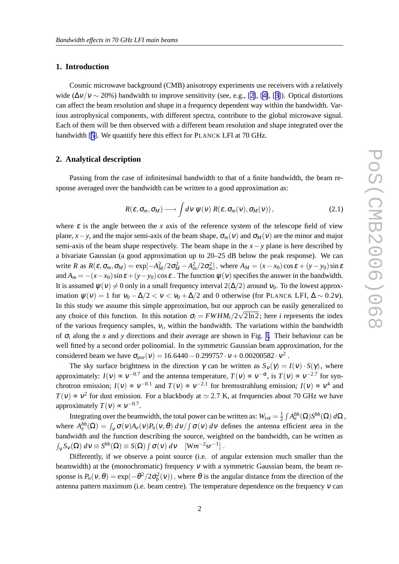#### **1. Introduction**

Cosmic microwave background (CMB) anisotropy experiments use receivers with a relatively wide ( $\Delta v/v \sim 20\%$ ) bandwidth to improve sensitivity (see, e.g., [\[2\]](#page-3-0), [[4\]](#page-3-0), [[3\]](#page-3-0)). Optical distortions can affect the beam resolution and shape in a frequency dependent way within the bandwidth. Various astrophysical components, with different spectra, contribute to the global microwave signal. Each of them will be then observed with a different beam resolution and shape integrated over the bandwidth [[5](#page-3-0)]. We quantify here this effect for PLANCK LFI at 70 GHz.

#### **2. Analytical description**

Passing from the case of infinitesimal bandwidth to that of a finite bandwidth, the beam response averaged over the bandwidth can be written to a good approximation as:

$$
R(\varepsilon, \sigma_m, \sigma_M) \longrightarrow \int d\nu \, \psi(\nu) \, R(\varepsilon, \sigma_m(\nu), \sigma_M(\nu)), \qquad (2.1)
$$

where  $\varepsilon$  is the angle between the *x* axis of the reference system of the telescope field of view plane, *x*−*y*, and the major semi-axis of the beam shape,  $\sigma_m(v)$  and  $\sigma_M(v)$  are the minor and major semi-axis of the beam shape respectively. The beam shape in the *x*−*y* plane is here described by a bivariate Gaussian (a good approximation up to 20–25 dB below the peak response). We can write *R* as  $R(\varepsilon, \sigma_m, \sigma_M) = \exp[-A_M^2/2\sigma_M^2 - A_m^2/2\sigma_m^2]$ , where  $A_M = (x - x_0)\cos \varepsilon + (y - y_0)\sin \varepsilon$ and  $A_m = -(x-x_0)\sin\epsilon + (y-y_0)\cos\epsilon$ . The function  $\psi(v)$  specifies the answer in the bandwidth. It is assumed  $\psi(\nu) \neq 0$  only in a small frequency interval  $2(\Delta/2)$  around  $\nu_0$ . To the lowest approximation  $\psi(v) = 1$  for  $v_0 - \Delta/2 < v < v_0 + \Delta/2$  and 0 otherwise (for PLANCK LFI,  $\Delta \sim 0.2v$ ). In this study we assume this simple approximation, but our approch can be easily generalized to any choice of this function. In this notation  $\sigma_i = FWHM_i/2\sqrt{2\ln 2}$ ; here *i* represents the index of the various frequency samples, <sup>ν</sup>*<sup>i</sup>* , within the bandwidth. The variations within the bandwidth of  $\sigma_i$  along the *x* and *y* directions and their average are shown in Fig. [1.](#page-2-0) Their behaviour can be well fitted by a second order polinomial. In the symmetric Gaussian beam approximation, for the considered beam we have  $\sigma_{ave}(v) = 16.6440 - 0.299757 \cdot v + 0.00200582 \cdot v^2$ .

The sky surface brightness in the direction  $\gamma$  can be written as  $S_v(\gamma) = I(v) \cdot S(\gamma)$ , where approximately:  $I(v) \propto v^{-0.7}$  and the antenna temperature,  $T(v) \propto v^{-\alpha}$ , is  $T(v) \propto v^{-2.7}$  for synchrotron emission;  $I(v) \propto v^{-0.1}$  and  $T(v) \propto v^{-2.1}$  for bremsstrahlung emission;  $I(v) \propto v^4$  and  $T(v) \propto v^2$  for dust emission. For a blackbody at  $\simeq$  2.7 K, at frequencies about 70 GHz we have approximately  $T(v) \propto v^{-0.7}$ .

Integrating over the beamwidth, the total power can be written as:  $W_{tot} = \frac{1}{2}$  $\frac{1}{2} \int A_e^{bb}(\Omega) S^{bb}(\Omega) d\Omega$ , where  $A_e^{bb}(\Omega) = \int_V \sigma(v)A_e(v)P_n(v,\theta) dv/f \sigma(v) dv$  defines the antenna efficient area in the bandwidth and the function describing the source, weighted on the bandwidth, can be written as  $\int_{V} S_{V}(\Omega) dV \equiv S^{bb}(\Omega) \equiv S(\Omega) \int \sigma(v) dv \quad [Wm^{-2}sr^{-1}]$ .

Differently, if we observe a point source (i.e. of angular extension much smaller than the beamwidth) at the (monochromatic) frequency  $v$  with a symmetric Gaussian beam, the beam response is  $P_n(v, \theta) = \exp(-\theta^2/2\sigma_b^2(v))$ , where  $\theta$  is the angular distance from the direction of the antenna pattern maximum (i.e. beam centre). The temperature dependence on the frequency <sup>ν</sup> can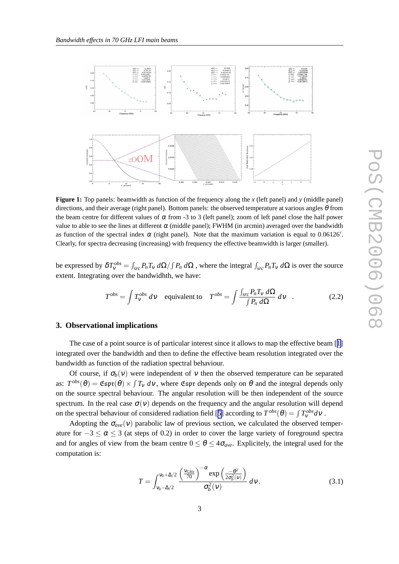<span id="page-2-0"></span>

**Figure 1:** Top panels: beamwidth as function of the frequency along the *x* (left panel) and *y* (middle panel) directions, and their average (right panel). Bottom panels: the observed temperature at various angles  $\theta$  from the beam centre for different values of  $\alpha$  from -3 to 3 (left panel); zoom of left panel close the half power value to able to see the lines at different  $\alpha$  (middle panel); FWHM (in arcmin) averaged over the bandwidth as function of the spectral index  $\alpha$  (right panel). Note that the maximum variation is equal to 0.06126'. Clearly, for spectra decreasing (increasing) with frequency the effective beamwidth is larger (smaller).

be expressed by  $\delta T_v^{obs} = \int_{src} P_n T_v d\Omega / \int P_n d\Omega$ , where the integral  $\int_{src} P_n T_v d\Omega$  is over the source extent. Integrating over the bandwidhth, we have:

$$
T^{obs} = \int T_V^{obs} \, d\mathbf{v} \quad \text{equivalent to} \quad T^{obs} = \int \frac{\int_{src} P_n T_V \, d\Omega}{\int P_n \, d\Omega} \, d\mathbf{v} \quad . \tag{2.2}
$$

## **3. Observational implications**

The case of a point source is of particular interest since it allows to map the effective beam [[1\]](#page-3-0) integrated over the bandwidth and then to define the effective beam resolution integrated over the bandwidth as function of the radiation spectral behaviour.

Of course, if  $\sigma_b(v)$  were independent of v then the observed temperature can be separated as:  $T^{obs}(\theta) = \text{Espr}(\theta) \times \int T_v dv$ , where  $\text{Espr}$  depends only on  $\theta$  and the integral depends only on the source spectral behaviour. The angular resolution will be then independent of the source spectrum. In the real case  $\sigma(v)$  depends on the frequency and the angular resolution will depend on the spectral behaviour of considered radiation field [[5](#page-3-0)] according to  $T^{obs}(\theta) = \int T_V^{obs} dV$ .

Adopting the  $\sigma_{ave}(v)$  parabolic law of previous section, we calculated the observed temperature for  $-3 \le \alpha \le 3$  (at steps of 0.2) in order to cover the large variety of foreground spectra and for angles of view from the beam centre  $0 \le \theta \le 4\sigma_{ave}$ . Explicitely, the integral used for the computation is:

$$
T = \int_{v_0 - \Delta/2}^{v_0 + \Delta/2} \frac{\left(\frac{v_{GHz}}{70}\right)^{-\alpha} \exp\left(\frac{-\theta^2}{2\sigma_b^2(v)}\right)}{\sigma_b^2(v)} \, dv \,. \tag{3.1}
$$